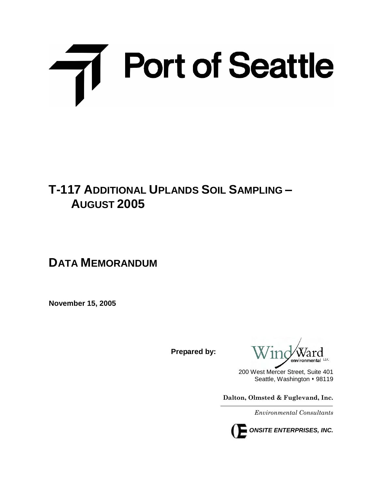# Till Port of Seattle

# **T-117 ADDITIONAL UPLANDS SOIL SAMPLING – AUGUST 2005**

# **DATA MEMORANDUM**

**November 15, 2005**

**Prepared by:**

200 West Mercer Street, Suite 401 Seattle, Washington • 98119

**Dalton, Olmsted & Fuglevand, Inc.**

*Environmental Consultants*

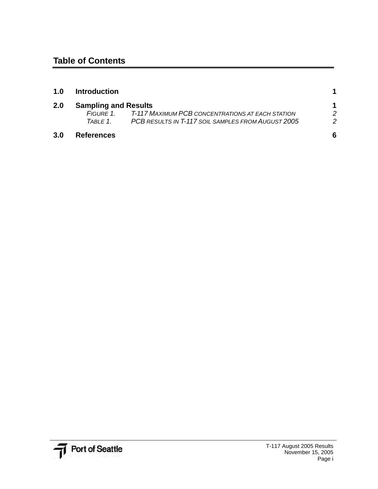| 1.0 | <b>Introduction</b>         |                                                    |   |
|-----|-----------------------------|----------------------------------------------------|---|
| 2.0 | <b>Sampling and Results</b> |                                                    |   |
|     | FIGURE 1                    | T-117 MAXIMUM PCB CONCENTRATIONS AT EACH STATION   | 2 |
|     | TABLE 1.                    | PCB RESULTS IN T-117 SOIL SAMPLES FROM AUGUST 2005 | 2 |
| 3.0 | <b>References</b>           |                                                    | 6 |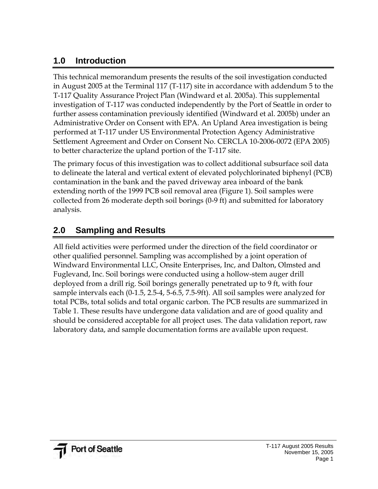### **1.0 Introduction**

This technical memorandum presents the results of the soil investigation conducted in August 2005 at the Terminal 117 (T-117) site in accordance with addendum 5 to the T-117 Quality Assurance Project Plan (Windward et al. 2005a). This supplemental investigation of T-117 was conducted independently by the Port of Seattle in order to further assess contamination previously identified (Windward et al. 2005b) under an Administrative Order on Consent with EPA. An Upland Area investigation is being performed at T-117 under US Environmental Protection Agency Administrative Settlement Agreement and Order on Consent No. CERCLA 10-2006-0072 (EPA 2005) to better characterize the upland portion of the T-117 site.

The primary focus of this investigation was to collect additional subsurface soil data to delineate the lateral and vertical extent of elevated polychlorinated biphenyl (PCB) contamination in the bank and the paved driveway area inboard of the bank extending north of the 1999 PCB soil removal area (Figure 1). Soil samples were collected from 26 moderate depth soil borings (0-9 ft) and submitted for laboratory analysis.

## **2.0 Sampling and Results**

All field activities were performed under the direction of the field coordinator or other qualified personnel. Sampling was accomplished by a joint operation of Windward Environmental LLC, Onsite Enterprises, Inc, and Dalton, Olmsted and Fuglevand, Inc. Soil borings were conducted using a hollow-stem auger drill deployed from a drill rig. Soil borings generally penetrated up to 9 ft, with four sample intervals each (0-1.5, 2.5-4, 5-6.5, 7.5-9ft). All soil samples were analyzed for total PCBs, total solids and total organic carbon. The PCB results are summarized in Table 1. These results have undergone data validation and are of good quality and should be considered acceptable for all project uses. The data validation report, raw laboratory data, and sample documentation forms are available upon request.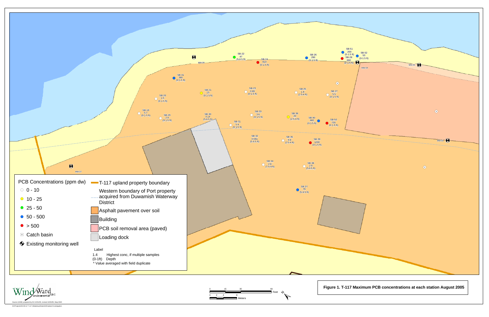

W:\Projects\03-08-12 T-117 (Malarkey)\Data\GIS\Upland Invest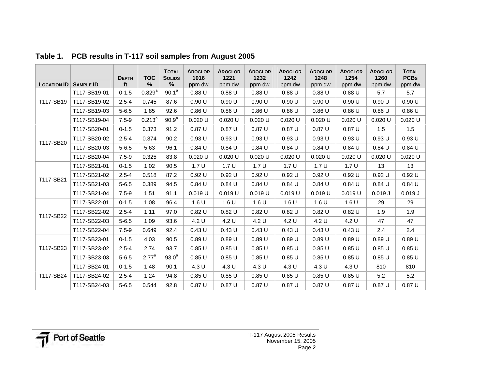| <b>LOCATION ID</b> | <b>SAMPLE ID</b> | <b>DEPTH</b><br>ft | <b>TOC</b><br>%   | <b>TOTAL</b><br><b>SOLIDS</b><br>% | <b>AROCLOR</b><br>1016<br>ppm dw | <b>AROCLOR</b><br>1221<br>ppm dw | <b>AROCLOR</b><br>1232<br>ppm dw | <b>AROCLOR</b><br>1242<br>ppm dw | <b>AROCLOR</b><br>1248<br>ppm dw | <b>AROCLOR</b><br>1254<br>ppm dw | <b>AROCLOR</b><br>1260<br>ppm dw | <b>TOTAL</b><br><b>PCBs</b><br>ppm dw |
|--------------------|------------------|--------------------|-------------------|------------------------------------|----------------------------------|----------------------------------|----------------------------------|----------------------------------|----------------------------------|----------------------------------|----------------------------------|---------------------------------------|
|                    | T117-SB19-01     | $0 - 1.5$          | $0.829^{a}$       | $90.1^a$                           | 0.88U                            | 0.88U                            | 0.88U                            | 0.88U                            | 0.88U                            | 0.88U                            | 5.7                              | 5.7                                   |
| T117-SB19          | T117-SB19-02     | $2.5 - 4$          | 0.745             | 87.6                               | 0.90 U                           | 0.90 U                           | 0.90U                            | 0.90 U                           | 0.90U                            | 0.90 U                           | 0.90U                            | 0.90 U                                |
|                    | T117-SB19-03     | $5 - 6.5$          | 1.85              | 92.6                               | 0.86U                            | 0.86U                            | 0.86U                            | 0.86U                            | 0.86U                            | 0.86U                            | 0.86U                            | 0.86U                                 |
|                    | T117-SB19-04     | $7.5 - 9$          | $0.213^a$         | 90.9 <sup>a</sup>                  | 0.020 U                          | 0.020U                           | 0.020U                           | 0.020 U                          | 0.020U                           | 0.020 U                          | 0.020 U                          | $0.020$ U                             |
|                    | T117-SB20-01     | $0 - 1.5$          | 0.373             | 91.2                               | 0.87U                            | 0.87U                            | 0.87U                            | 0.87 U                           | 0.87U                            | 0.87U                            | 1.5                              | 1.5                                   |
| T117-SB20          | T117-SB20-02     | $2.5 - 4$          | 0.374             | 90.2                               | 0.93U                            | 0.93U                            | 0.93U                            | 0.93U                            | 0.93U                            | 0.93U                            | 0.93U                            | 0.93U                                 |
|                    | T117-SB20-03     | $5 - 6.5$          | 5.63              | 96.1                               | 0.84U                            | 0.84U                            | 0.84U                            | 0.84U                            | 0.84U                            | 0.84U                            | 0.84U                            | 0.84U                                 |
|                    | T117-SB20-04     | $7.5 - 9$          | 0.325             | 83.8                               | $0.020$ U                        | 0.020 U                          | $0.020$ U                        | 0.020 U                          | 0.020 U                          | 0.020 U                          | 0.020 U                          | 0.020U                                |
|                    | T117-SB21-01     | $0 - 1.5$          | 1.02              | 90.5                               | 1.7U                             | 1.7U                             | 1.7U                             | 1.7U                             | 1.7U                             | 1.7U                             | 13                               | 13                                    |
| T117-SB21          | T117-SB21-02     | $2.5 - 4$          | 0.518             | 87.2                               | 0.92U                            | 0.92U                            | 0.92U                            | 0.92U                            | 0.92U                            | 0.92U                            | 0.92U                            | 0.92U                                 |
|                    | T117-SB21-03     | $5 - 6.5$          | 0.389             | 94.5                               | 0.84U                            | 0.84U                            | 0.84U                            | 0.84U                            | 0.84U                            | 0.84U                            | 0.84U                            | 0.84U                                 |
|                    | T117-SB21-04     | $7.5 - 9$          | 1.51              | 91.1                               | 0.019 U                          | 0.019 U                          | 0.019U                           | $0.019$ U                        | 0.019 U                          | $0.019$ U                        | 0.019J                           | 0.019J                                |
| T117-SB22          | T117-SB22-01     | $0 - 1.5$          | 1.08              | 96.4                               | 1.6 U                            | 1.6 U                            | 1.6 U                            | 1.6 U                            | 1.6 U                            | 1.6 U                            | 29                               | 29                                    |
|                    | T117-SB22-02     | $2.5 - 4$          | 1.11              | 97.0                               | 0.82U                            | 0.82U                            | 0.82U                            | 0.82U                            | 0.82U                            | 0.82U                            | 1.9                              | 1.9                                   |
|                    | T117-SB22-03     | $5 - 6.5$          | 1.09              | 93.6                               | 4.2 U                            | 4.2 U                            | 4.2 U                            | 4.2 U                            | 4.2 U                            | 4.2 U                            | 47                               | 47                                    |
|                    | T117-SB22-04     | $7.5 - 9$          | 0.649             | 92.4                               | 0.43U                            | 0.43U                            | 0.43U                            | 0.43U                            | 0.43U                            | 0.43U                            | 2.4                              | 2.4                                   |
|                    | T117-SB23-01     | $0 - 1.5$          | 4.03              | 90.5                               | 0.89U                            | 0.89U                            | 0.89U                            | 0.89U                            | 0.89U                            | 0.89U                            | 0.89U                            | 0.89U                                 |
| T117-SB23          | T117-SB23-02     | $2.5 - 4$          | 2.74              | 93.7                               | 0.85U                            | 0.85U                            | 0.85U                            | 0.85U                            | 0.85U                            | 0.85U                            | 0.85U                            | 0.85U                                 |
|                    | T117-SB23-03     | $5 - 6.5$          | 2.77 <sup>a</sup> | $93.0^a$                           | 0.85U                            | 0.85U                            | 0.85U                            | 0.85U                            | 0.85U                            | 0.85U                            | 0.85U                            | 0.85U                                 |
|                    | T117-SB24-01     | $0 - 1.5$          | 1.48              | 90.1                               | 4.3 U                            | 4.3 U                            | 4.3 U                            | 4.3 U                            | 4.3 U                            | 4.3 U                            | 810                              | 810                                   |
| T117-SB24          | T117-SB24-02     | $2.5 - 4$          | 1.24              | 94.8                               | 0.85U                            | 0.85U                            | 0.85U                            | 0.85U                            | 0.85U                            | 0.85U                            | 5.2                              | 5.2                                   |
|                    | T117-SB24-03     | $5 - 6.5$          | 0.544             | 92.8                               | 0.87U                            | 0.87U                            | 0.87U                            | 0.87U                            | 0.87U                            | 0.87U                            | 0.87U                            | 0.87U                                 |

**Table 1. PCB results in T-117 soil samples from August 2005**

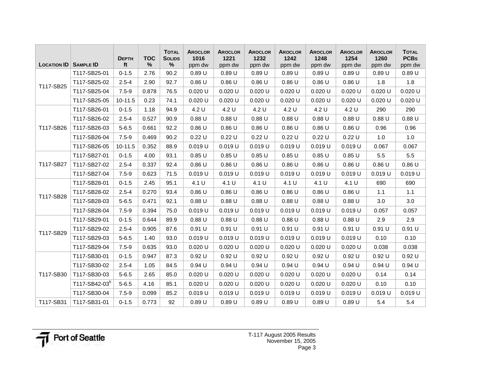| <b>LOCATION ID</b> | <b>SAMPLE ID</b>          | <b>DEPTH</b><br>ft | <b>TOC</b><br>% | <b>TOTAL</b><br><b>SOLIDS</b><br>$\%$ | <b>AROCLOR</b><br>1016<br>ppm dw | <b>AROCLOR</b><br>1221<br>ppm dw | <b>AROCLOR</b><br>1232<br>ppm dw | <b>AROCLOR</b><br>1242<br>ppm dw | <b>AROCLOR</b><br>1248<br>ppm dw | <b>AROCLOR</b><br>1254<br>ppm dw | <b>AROCLOR</b><br>1260<br>ppm dw | <b>TOTAL</b><br><b>PCBs</b><br>ppm dw |
|--------------------|---------------------------|--------------------|-----------------|---------------------------------------|----------------------------------|----------------------------------|----------------------------------|----------------------------------|----------------------------------|----------------------------------|----------------------------------|---------------------------------------|
|                    | T117-SB25-01              | $0 - 1.5$          | 2.76            | 90.2                                  | 0.89U                            | 0.89U                            | 0.89U                            | 0.89U                            | 0.89U                            | 0.89U                            | 0.89U                            | 0.89U                                 |
|                    | T117-SB25-02              | $2.5 - 4$          | 2.90            | 92.7                                  | 0.86U                            | 0.86U                            | 0.86U                            | 0.86U                            | 0.86U                            | 0.86U                            | 1.8                              | 1.8                                   |
| T117-SB25          | T117-SB25-04              | $7.5 - 9$          | 0.878           | 76.5                                  | 0.020 U                          | 0.020 U                          | 0.020 U                          | 0.020 U                          | 0.020 U                          | 0.020 U                          | 0.020 U                          | 0.020 U                               |
|                    | T117-SB25-05              | 10-11.5            | 0.23            | 74.1                                  | 0.020U                           | $0.020$ U                        | $0.020$ U                        | 0.020 U                          | $0.020$ U                        | 0.020 U                          | 0.020 U                          | 0.020U                                |
|                    | T117-SB26-01              | $0 - 1.5$          | 1.18            | 94.9                                  | 4.2 U                            | 4.2 U                            | 4.2 U                            | 4.2 U                            | 4.2 U                            | 4.2 U                            | 290                              | 290                                   |
|                    | T117-SB26-02              | $2.5 - 4$          | 0.527           | 90.9                                  | 0.88U                            | 0.88U                            | 0.88U                            | 0.88U                            | 0.88U                            | 0.88U                            | 0.88U                            | 0.88U                                 |
| T117-SB26          | T117-SB26-03              | $5 - 6.5$          | 0.661           | 92.2                                  | 0.86U                            | 0.86U                            | 0.86U                            | 0.86U                            | 0.86U                            | 0.86U                            | 0.96                             | 0.96                                  |
|                    | T117-SB26-04              | $7.5 - 9$          | 0.469           | 90.2                                  | 0.22U                            | 0.22U                            | 0.22U                            | 0.22U                            | 0.22U                            | 0.22U                            | 1.0                              | 1.0                                   |
|                    | T117-SB26-05              | 10-11.5            | 0.352           | 88.9                                  | $0.019$ U                        | $0.019$ U                        | 0.019U                           | 0.019U                           | 0.019U                           | 0.019 U                          | 0.067                            | 0.067                                 |
|                    | T117-SB27-01              | $0 - 1.5$          | 4.00            | 93.1                                  | 0.85U                            | 0.85U                            | 0.85U                            | 0.85U                            | 0.85U                            | 0.85U                            | 5.5                              | 5.5                                   |
| T117-SB27          | T117-SB27-02              | $2.5 - 4$          | 0.337           | 92.4                                  | 0.86U                            | 0.86U                            | 0.86U                            | 0.86U                            | 0.86U                            | 0.86U                            | 0.86U                            | 0.86U                                 |
|                    | T117-SB27-04              | $7.5 - 9$          | 0.623           | 71.5                                  | 0.019U                           | 0.019 U                          | 0.019U                           | 0.019 U                          | $0.019$ U                        | $0.019$ U                        | $0.019$ U                        | 0.019U                                |
|                    | T117-SB28-01              | $0 - 1.5$          | 2.45            | 95.1                                  | 4.1 U                            | 4.1 U                            | 4.1 U                            | 4.1 U                            | 4.1 U                            | 4.1 U                            | 690                              | 690                                   |
| T117-SB28          | T117-SB28-02              | $2.5 - 4$          | 0.270           | 93.4                                  | 0.86U                            | 0.86U                            | 0.86U                            | 0.86U                            | 0.86U                            | 0.86U                            | 1.1                              | 1.1                                   |
|                    | T117-SB28-03              | $5 - 6.5$          | 0.471           | 92.1                                  | 0.88U                            | 0.88U                            | 0.88U                            | 0.88U                            | 0.88U                            | 0.88U                            | 3.0                              | 3.0                                   |
|                    | T117-SB28-04              | $7.5 - 9$          | 0.394           | 75.0                                  | 0.019U                           | $0.019$ U                        | 0.019U                           | 0.019U                           | 0.019U                           | 0.019U                           | 0.057                            | 0.057                                 |
|                    | T117-SB29-01              | $0 - 1.5$          | 0.644           | 89.9                                  | 0.88U                            | 0.88U                            | 0.88U                            | 0.88U                            | 0.88U                            | 0.88U                            | 2.9                              | 2.9                                   |
| T117-SB29          | T117-SB29-02              | $2.5 - 4$          | 0.905           | 87.6                                  | 0.91 U                           | 0.91 U                           | 0.91 U                           | 0.91 U                           | 0.91 U                           | 0.91 U                           | 0.91 U                           | 0.91 U                                |
|                    | T117-SB29-03              | $5 - 6.5$          | 1.40            | 93.0                                  | 0.019U                           | 0.019U                           | 0.019U                           | 0.019U                           | 0.019U                           | 0.019U                           | 0.10                             | 0.10                                  |
|                    | T117-SB29-04              | $7.5 - 9$          | 0.635           | 93.0                                  | 0.020 U                          | 0.020 U                          | 0.020 U                          | 0.020 U                          | 0.020 U                          | $0.020$ U                        | 0.038                            | 0.038                                 |
|                    | T117-SB30-01              | $0 - 1.5$          | 0.947           | 87.3                                  | 0.92U                            | 0.92 U                           | 0.92U                            | 0.92 U                           | 0.92U                            | 0.92 U                           | 0.92U                            | 0.92 U                                |
|                    | T117-SB30-02              | $2.5 - 4$          | 1.05            | 84.5                                  | 0.94U                            | 0.94U                            | 0.94U                            | 0.94U                            | 0.94U                            | 0.94U                            | 0.94U                            | 0.94U                                 |
| T117-SB30          | T117-SB30-03              | $5 - 6.5$          | 2.65            | 85.0                                  | 0.020U                           | $0.020$ U                        | $0.020$ U                        | 0.020 U                          | $0.020$ U                        | 0.020U                           | 0.14                             | 0.14                                  |
|                    | T117-SB42-03 <sup>b</sup> | $5 - 6.5$          | 4.16            | 85.1                                  | 0.020U                           | 0.020 U                          | $0.020$ U                        | 0.020 U                          | $0.020$ U                        | 0.020U                           | 0.10                             | 0.10                                  |
|                    | T117-SB30-04              | $7.5 - 9$          | 0.099           | 85.2                                  | $0.019$ U                        | $0.019$ U                        | $0.019$ U                        | 0.019U                           | 0.019U                           | 0.019U                           | $0.019$ U                        | 0.019U                                |
| T117-SB31          | T117-SB31-01              | $0 - 1.5$          | 0.773           | 92                                    | 0.89U                            | 0.89U                            | 0.89U                            | 0.89U                            | 0.89U                            | 0.89U                            | 5.4                              | 5.4                                   |

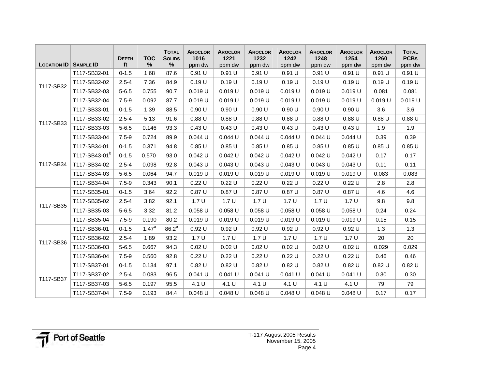|                    |                           | <b>DEPTH</b> | <b>TOC</b> | <b>TOTAL</b><br><b>SOLIDS</b> | <b>AROCLOR</b><br>1016 | <b>AROCLOR</b><br>1221 | <b>AROCLOR</b><br>1232 | <b>AROCLOR</b><br>1242 | <b>AROCLOR</b><br>1248 | <b>AROCLOR</b><br>1254 | <b>AROCLOR</b><br>1260 | <b>TOTAL</b><br><b>PCBs</b> |
|--------------------|---------------------------|--------------|------------|-------------------------------|------------------------|------------------------|------------------------|------------------------|------------------------|------------------------|------------------------|-----------------------------|
| <b>LOCATION ID</b> | <b>SAMPLE ID</b>          | ft           | $\%$       | $\%$                          | ppm dw                 | ppm dw                 | ppm dw                 | ppm dw                 | ppm dw                 | ppm dw                 | ppm dw                 | ppm dw                      |
|                    | T117-SB32-01              | $0 - 1.5$    | 1.68       | 87.6                          | 0.91 U                 | 0.91 U                 | 0.91 U                 | 0.91 U                 | 0.91 U                 | 0.91 U                 | 0.91 U                 | 0.91 U                      |
| T117-SB32          | T117-SB32-02              | $2.5 - 4$    | 7.36       | 84.9                          | 0.19 U                 | 0.19U                  | 0.19U                  | 0.19U                  | 0.19U                  | 0.19U                  | 0.19U                  | 0.19U                       |
|                    | T117-SB32-03              | $5 - 6.5$    | 0.755      | 90.7                          | 0.019 U                | 0.019 U                | 0.019 U                | $0.019$ U              | $0.019$ U              | $0.019$ U              | 0.081                  | 0.081                       |
|                    | T117-SB32-04              | $7.5 - 9$    | 0.092      | 87.7                          | 0.019U                 | 0.019U                 | 0.019U                 | 0.019U                 | 0.019U                 | 0.019U                 | $0.019$ U              | 0.019U                      |
|                    | T117-SB33-01              | $0 - 1.5$    | 1.39       | 88.5                          | 0.90 U                 | 0.90 U                 | 0.90 U                 | 0.90 U                 | 0.90 U                 | 0.90 U                 | 3.6                    | 3.6                         |
| T117-SB33          | T117-SB33-02              | $2.5 - 4$    | 5.13       | 91.6                          | 0.88U                  | 0.88U                  | 0.88U                  | 0.88U                  | 0.88U                  | 0.88U                  | 0.88U                  | $0.88$ U                    |
|                    | T117-SB33-03              | $5 - 6.5$    | 0.146      | 93.3                          | 0.43U                  | 0.43U                  | 0.43U                  | 0.43U                  | 0.43U                  | 0.43U                  | 1.9                    | 1.9                         |
|                    | T117-SB33-04              | $7.5 - 9$    | 0.724      | 89.9                          | 0.044 U                | $0.044$ U              | $0.044$ U              | $0.044$ U              | $0.044$ U              | $0.044$ U              | 0.39                   | 0.39                        |
| T117-SB34          | T117-SB34-01              | $0 - 1.5$    | 0.371      | 94.8                          | 0.85U                  | 0.85U                  | 0.85U                  | 0.85U                  | 0.85U                  | 0.85U                  | 0.85U                  | 0.85U                       |
|                    | T117-SB43-01 <sup>b</sup> | $0 - 1.5$    | 0.570      | 93.0                          | 0.042 U                | $0.042$ U              | $0.042$ U              | $0.042$ U              | $0.042$ U              | $0.042$ U              | 0.17                   | 0.17                        |
|                    | T117-SB34-02              | $2.5 - 4$    | 0.098      | 92.8                          | $0.043$ U              | $0.043$ U              | $0.043$ U              | $0.043$ U              | $0.043$ U              | $0.043$ U              | 0.11                   | 0.11                        |
|                    | T117-SB34-03              | $5 - 6.5$    | 0.064      | 94.7                          | 0.019 U                | 0.019 U                | 0.019 U                | $0.019$ U              | 0.019 U                | $0.019$ U              | 0.083                  | 0.083                       |
|                    | T117-SB34-04              | $7.5 - 9$    | 0.343      | 90.1                          | 0.22U                  | 0.22U                  | 0.22U                  | 0.22U                  | 0.22U                  | 0.22U                  | 2.8                    | 2.8                         |
|                    | T117-SB35-01              | $0 - 1.5$    | 3.64       | 92.2                          | 0.87U                  | 0.87U                  | 0.87U                  | 0.87U                  | 0.87U                  | 0.87U                  | 4.6                    | 4.6                         |
| T117-SB35          | T117-SB35-02              | $2.5 - 4$    | 3.82       | 92.1                          | 1.7U                   | 1.7U                   | 1.7U                   | 1.7U                   | 1.7U                   | 1.7U                   | 9.8                    | 9.8                         |
|                    | T117-SB35-03              | $5 - 6.5$    | 3.32       | 81.2                          | 0.058 U                | $0.058$ U              | $0.058$ U              | $0.058$ U              | $0.058$ U              | $0.058$ U              | 0.24                   | 0.24                        |
|                    | T117-SB35-04              | $7.5 - 9$    | 0.190      | 80.2                          | 0.019 U                | 0.019 U                | 0.019 U                | $0.019$ U              | 0.019U                 | $0.019$ U              | 0.15                   | 0.15                        |
|                    | T117-SB36-01              | $0 - 1.5$    | $1.47^a$   | 86.2 <sup>a</sup>             | 0.92 U                 | 0.92 U                 | 0.92U                  | 0.92U                  | 0.92U                  | 0.92 U                 | 1.3                    | 1.3                         |
| T117-SB36          | T117-SB36-02              | $2.5 - 4$    | 1.89       | 93.2                          | 1.7U                   | 1.7U                   | 1.7U                   | 1.7U                   | 1.7U                   | 1.7U                   | 20                     | 20                          |
|                    | T117-SB36-03              | $5 - 6.5$    | 0.667      | 94.3                          | 0.02 U                 | 0.02 U                 | 0.02 U                 | 0.02 U                 | 0.02 U                 | 0.02 U                 | 0.029                  | 0.029                       |
|                    | T117-SB36-04              | $7.5 - 9$    | 0.560      | 92.8                          | 0.22U                  | 0.22U                  | 0.22U                  | 0.22U                  | 0.22U                  | 0.22U                  | 0.46                   | 0.46                        |
|                    | T117-SB37-01              | $0 - 1.5$    | 0.134      | 97.1                          | 0.82U                  | 0.82U                  | 0.82U                  | 0.82U                  | 0.82U                  | 0.82U                  | 0.82U                  | $0.82$ U                    |
| T117-SB37          | T117-SB37-02              | $2.5 - 4$    | 0.083      | 96.5                          | $0.041$ U              | $0.041$ U              | $0.041$ U              | $0.041$ U              | $0.041$ U              | $0.041$ U              | 0.30                   | 0.30                        |
|                    | T117-SB37-03              | $5 - 6.5$    | 0.197      | 95.5                          | 4.1 U                  | 4.1 U                  | 4.1 U                  | 4.1 U                  | 4.1 U                  | 4.1 U                  | 79                     | 79                          |
|                    | T117-SB37-04              | $7.5 - 9$    | 0.193      | 84.4                          | $0.048$ U              | $0.048$ U              | $0.048$ U              | 0.048 U                | $0.048$ U              | $0.048$ U              | 0.17                   | 0.17                        |

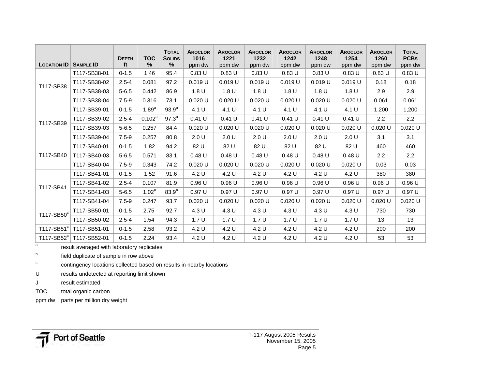|                         |                  | <b>DEPTH</b> | <b>TOC</b> | <b>TOTAL</b><br><b>SOLIDS</b> | <b>AROCLOR</b><br>1016 | <b>AROCLOR</b><br>1221 | <b>AROCLOR</b><br>1232 | <b>AROCLOR</b><br>1242 | <b>AROCLOR</b><br>1248 | <b>AROCLOR</b><br>1254 | <b>AROCLOR</b><br>1260 | <b>TOTAL</b><br><b>PCBs</b> |
|-------------------------|------------------|--------------|------------|-------------------------------|------------------------|------------------------|------------------------|------------------------|------------------------|------------------------|------------------------|-----------------------------|
| <b>LOCATION ID</b>      | <b>SAMPLE ID</b> | ft           | $\%$       | %                             | ppm dw                 | ppm dw                 | ppm dw                 | ppm dw                 | ppm dw                 | ppm dw                 | ppm dw                 | ppm dw                      |
|                         | T117-SB38-01     | $0 - 1.5$    | 1.46       | 95.4                          | 0.83U                  | 0.83U                  | 0.83U                  | 0.83U                  | 0.83U                  | 0.83U                  | 0.83U                  | 0.83U                       |
| T117-SB38               | T117-SB38-02     | $2.5 - 4$    | 0.081      | 97.2                          | 0.019U                 | 0.019U                 | 0.019U                 | 0.019U                 | 0.019U                 | $0.019$ U              | 0.18                   | 0.18                        |
|                         | T117-SB38-03     | $5 - 6.5$    | 0.442      | 86.9                          | 1.8 U                  | 1.8 <sub>U</sub>       | 1.8 U                  | 1.8 <sub>U</sub>       | 1.8 U                  | 1.8 <sub>U</sub>       | 2.9                    | 2.9                         |
|                         | T117-SB38-04     | $7.5 - 9$    | 0.316      | 73.1                          | 0.020 U                | 0.020 U                | $0.020$ U              | 0.020 U                | 0.020 U                | 0.020U                 | 0.061                  | 0.061                       |
|                         | T117-SB39-01     | $0 - 1.5$    | $1.89^{a}$ | $93.9^{a}$                    | 4.1 U                  | 4.1 U                  | 4.1 U                  | 4.1 U                  | 4.1 U                  | 4.1 U                  | 1,200                  | 1,200                       |
| T117-SB39               | T117-SB39-02     | $2.5 - 4$    | $0.102^a$  | $97.3^{a}$                    | 0.41 U                 | 0.41 U                 | 0.41 U                 | 0.41 U                 | 0.41 U                 | 0.41 U                 | 2.2                    | 2.2                         |
|                         | T117-SB39-03     | $5 - 6.5$    | 0.257      | 84.4                          | 0.020U                 | 0.020U                 | $0.020$ U              | 0.020U                 | 0.020U                 | 0.020U                 | $0.020$ U              | 0.020 U                     |
|                         | T117-SB39-04     | $7.5 - 9$    | 0.257      | 80.8                          | 2.0 U                  | 2.0 U                  | 2.0 U                  | 2.0 U                  | 2.0 U                  | 2.0 U                  | 3.1                    | 3.1                         |
|                         | T117-SB40-01     | $0 - 1.5$    | 1.82       | 94.2                          | 82 U                   | 82 U                   | 82 U                   | 82 U                   | 82 U                   | 82 U                   | 460                    | 460                         |
| T117-SB40               | T117-SB40-03     | $5 - 6.5$    | 0.571      | 83.1                          | 0.48U                  | 0.48 U                 | 0.48U                  | 0.48 U                 | 0.48U                  | 0.48U                  | $2.2^{\circ}$          | 2.2                         |
|                         | T117-SB40-04     | $7.5 - 9$    | 0.343      | 74.2                          | 0.020U                 | 0.020U                 | $0.020$ U              | 0.020 U                | $0.020$ U              | 0.020U                 | 0.03                   | 0.03                        |
|                         | T117-SB41-01     | $0 - 1.5$    | 1.52       | 91.6                          | 4.2 U                  | 4.2 U                  | 4.2 U                  | 4.2 U                  | 4.2 U                  | 4.2 U                  | 380                    | 380                         |
| T117-SB41               | T117-SB41-02     | $2.5 - 4$    | 0.107      | 81.9                          | 0.96U                  | 0.96U                  | 0.96U                  | 0.96U                  | 0.96U                  | 0.96U                  | 0.96U                  | 0.96U                       |
|                         | T117-SB41-03     | $5 - 6.5$    | $1.02^a$   | 83.9 <sup>a</sup>             | 0.97U                  | 0.97U                  | 0.97U                  | 0.97U                  | 0.97U                  | 0.97U                  | 0.97 U                 | 0.97U                       |
|                         | T117-SB41-04     | $7.5 - 9$    | 0.247      | 93.7                          | 0.020U                 | 0.020U                 | $0.020$ U              | 0.020U                 | 0.020U                 | 0.020U                 | 0.020U                 | 0.020U                      |
| T117-SB50 <sup>c</sup>  | T117-SB50-01     | $0 - 1.5$    | 2.75       | 92.7                          | 4.3 U                  | 4.3 U                  | 4.3 U                  | 4.3U                   | 4.3 U                  | 4.3 U                  | 730                    | 730                         |
|                         | T117-SB50-02     | $2.5 - 4$    | 1.54       | 94.3                          | 1.7U                   | 1.7 <sub>U</sub>       | 1.7U                   | 1.7U                   | 1.7U                   | 1.7U                   | 13                     | 13                          |
| T117-SB51 $\textdegree$ | T117-SB51-01     | $0 - 1.5$    | 2.58       | 93.2                          | 4.2 U                  | 4.2 U                  | 4.2 U                  | 4.2 U                  | 4.2 U                  | 4.2 U                  | 200                    | 200                         |
| T117-SB52 $\textdegree$ | T117-SB52-01     | $0 - 1.5$    | 2.24       | 93.4                          | 4.2 U                  | 4.2 U                  | 4.2 U                  | 4.2 U                  | 4.2 U                  | 4.2 U                  | 53                     | 53                          |

 $\overline{a}$ result averaged with laboratory replicates

b field duplicate of sample in row above

c contingency locations collected based on results in nearby locations

U results undetected at reporting limit shown

J result estimated

TOC total organic carbon

ppm dw parts per million dry weight